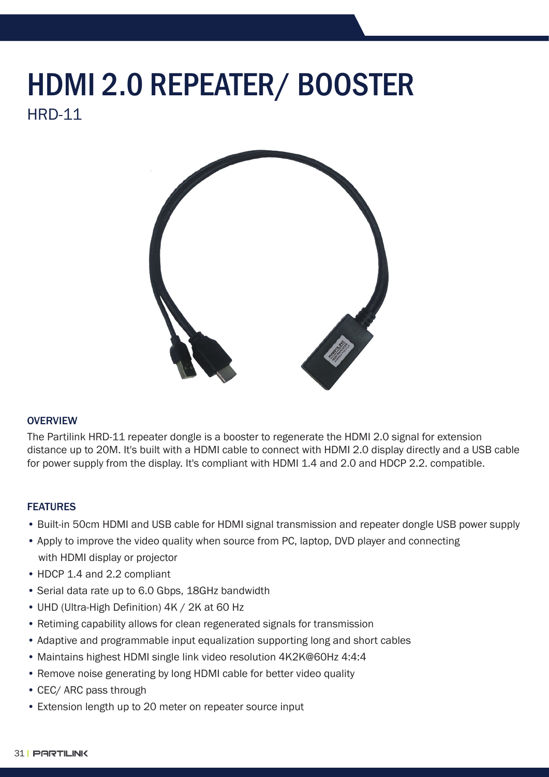## HRD-11 HDMI 2.0 REPEATER/ BOOSTER



## **OVERVIEW**

The Partilink HRD-11 repeater dongle is a booster to regenerate the HDMI 2.0 signal for extension distance up to 20M. It's built with a HDMI cable to connect with HDMI 2.0 display directly and a USB cable for power supply from the display. It's compliant with HDMI 1.4 and 2.0 and HDCP 2.2. compatible.

## FEATURES

- Built-in 50cm HDMI and USB cable for HDMI signal transmission and repeater dongle USB power supply
- Apply to improve the video quality when source from PC, laptop, DVD player and connecting with HDMI display or projector
- HDCP 1.4 and 2.2 compliant
- Serial data rate up to 6.0 Gbps, 18GHz bandwidth
- UHD (Ultra-High Definition) 4K / 2K at 60 Hz
- Retiming capability allows for clean regenerated signals for transmission
- Adaptive and programmable input equalization supporting long and short cables
- Maintains highest HDMI single link video resolution 4K2K@60Hz 4:4:4
- Remove noise generating by long HDMI cable for better video quality
- CEC/ ARC pass through
- Extension length up to 20 meter on repeater source input